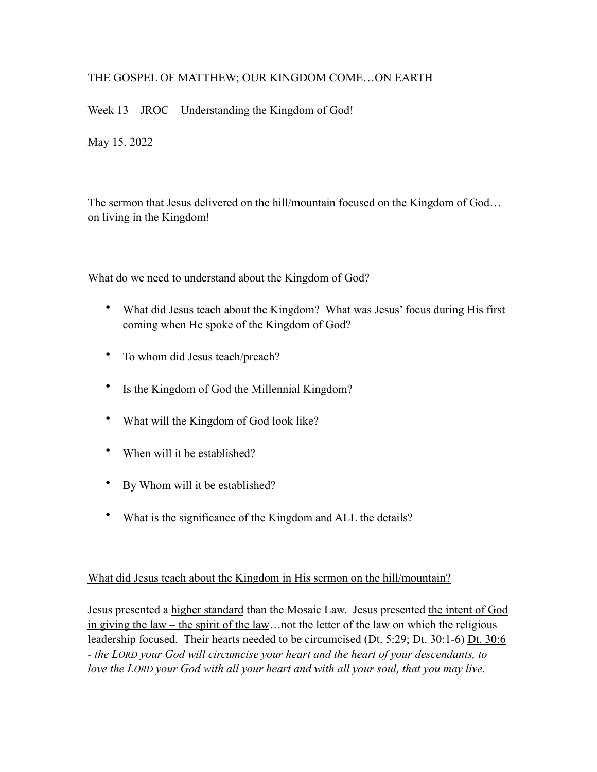# THE GOSPEL OF MATTHEW; OUR KINGDOM COME…ON EARTH

Week 13 – JROC – Understanding the Kingdom of God!

May 15, 2022

The sermon that Jesus delivered on the hill/mountain focused on the Kingdom of God… on living in the Kingdom!

## What do we need to understand about the Kingdom of God?

- What did Jesus teach about the Kingdom? What was Jesus' focus during His first coming when He spoke of the Kingdom of God?
- To whom did Jesus teach/preach?
- Is the Kingdom of God the Millennial Kingdom?
- What will the Kingdom of God look like?
- When will it be established?
- By Whom will it be established?
- What is the significance of the Kingdom and ALL the details?

# What did Jesus teach about the Kingdom in His sermon on the hill/mountain?

Jesus presented a higher standard than the Mosaic Law. Jesus presented the intent of God in giving the law – the spirit of the law... not the letter of the law on which the religious leadership focused. Their hearts needed to be circumcised (Dt. 5:29; Dt. 30:1-6) Dt. 30:6 - *the LORD your God will circumcise your heart and the heart of your descendants, to*  love the LORD your God with all your heart and with all your soul, that you may live.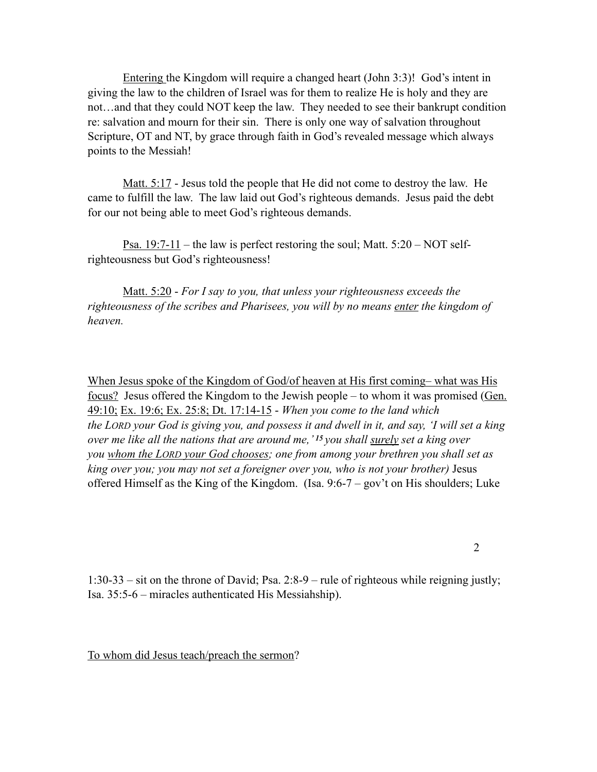Entering the Kingdom will require a changed heart (John 3:3)! God's intent in giving the law to the children of Israel was for them to realize He is holy and they are not…and that they could NOT keep the law. They needed to see their bankrupt condition re: salvation and mourn for their sin. There is only one way of salvation throughout Scripture, OT and NT, by grace through faith in God's revealed message which always points to the Messiah!

Matt. 5:17 - Jesus told the people that He did not come to destroy the law. He came to fulfill the law. The law laid out God's righteous demands. Jesus paid the debt for our not being able to meet God's righteous demands.

<u>Psa. 19:7-11</u> – the law is perfect restoring the soul; Matt.  $5:20 - NOT$  selfrighteousness but God's righteousness!

Matt. 5:20 - *For I say to you, that unless your righteousness exceeds the righteousness of the scribes and Pharisees, you will by no means enter the kingdom of heaven.* 

When Jesus spoke of the Kingdom of God/of heaven at His first coming– what was His <u>focus?</u> Jesus offered the Kingdom to the Jewish people – to whom it was promised ( $Gen$ )</u> 49:10; Ex. 19:6; Ex. 25:8; Dt. 17:14-15 - *When you come to the land which the LORD your God is giving you, and possess it and dwell in it, and say, 'I will set a king over me like all the nations that are around me,' 15 you shall surely set a king over you whom the LORD your God chooses; one from among your brethren you shall set as king over you; you may not set a foreigner over you, who is not your brother)* Jesus offered Himself as the King of the Kingdom. (Isa. 9:6-7 – gov't on His shoulders; Luke

2

1:30-33 – sit on the throne of David; Psa. 2:8-9 – rule of righteous while reigning justly; Isa. 35:5-6 – miracles authenticated His Messiahship).

To whom did Jesus teach/preach the sermon?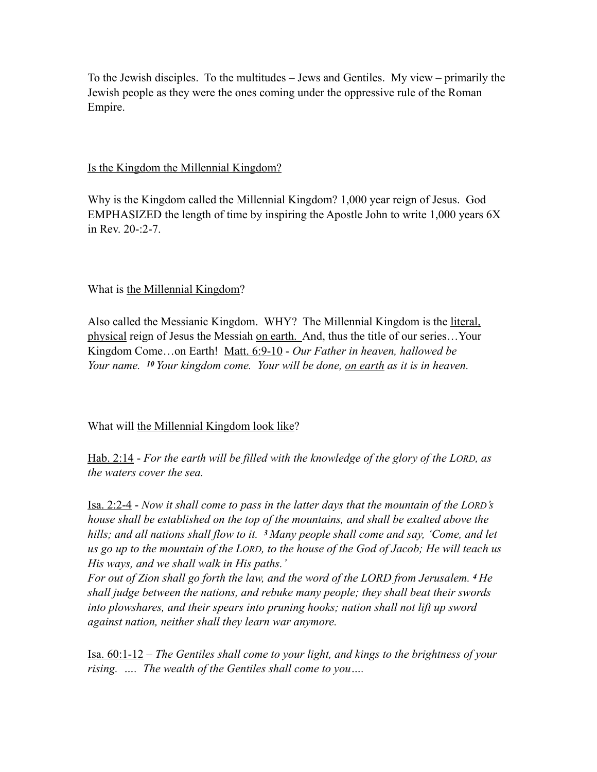To the Jewish disciples. To the multitudes – Jews and Gentiles. My view – primarily the Jewish people as they were the ones coming under the oppressive rule of the Roman Empire.

#### Is the Kingdom the Millennial Kingdom?

Why is the Kingdom called the Millennial Kingdom? 1,000 year reign of Jesus. God EMPHASIZED the length of time by inspiring the Apostle John to write 1,000 years 6X in Rev. 20-:2-7.

### What is the Millennial Kingdom?

Also called the Messianic Kingdom. WHY? The Millennial Kingdom is the literal, physical reign of Jesus the Messiah on earth. And, thus the title of our series…Your Kingdom Come…on Earth! Matt. 6:9-10 - *Our Father in heaven, hallowed be Your name. 10 Your kingdom come. Your will be done, on earth as it is in heaven.* 

### What will the Millennial Kingdom look like?

Hab. 2:14 - *For the earth will be filled with the knowledge of the glory of the LORD, as the waters cover the sea.* 

Isa. 2:2-4 - *Now it shall come to pass in the latter days that the mountain of the LORD's house shall be established on the top of the mountains, and shall be exalted above the hills; and all nations shall flow to it. 3 Many people shall come and say, 'Come, and let us go up to the mountain of the LORD, to the house of the God of Jacob; He will teach us His ways, and we shall walk in His paths.'*

*For out of Zion shall go forth the law, and the word of the LORD from Jerusalem. 4 He shall judge between the nations, and rebuke many people; they shall beat their swords into plowshares, and their spears into pruning hooks; nation shall not lift up sword against nation, neither shall they learn war anymore.* 

Isa. 60:1-12 – *The Gentiles shall come to your light, and kings to the brightness of your rising. …. The wealth of the Gentiles shall come to you….*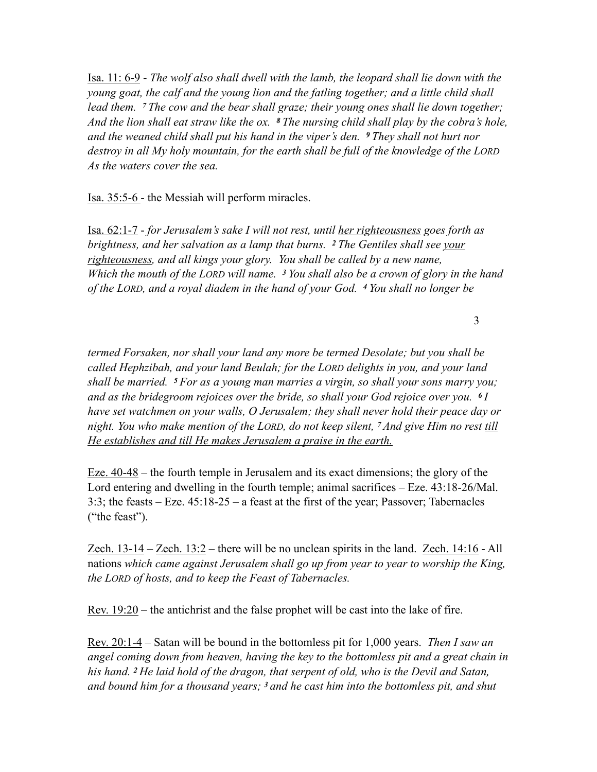Isa. 11: 6-9 - *The wolf also shall dwell with the lamb, the leopard shall lie down with the young goat, the calf and the young lion and the fatling together; and a little child shall lead them. 7 The cow and the bear shall graze; their young ones shall lie down together; And the lion shall eat straw like the ox. 8 The nursing child shall play by the cobra's hole, and the weaned child shall put his hand in the viper's den. 9 They shall not hurt nor destroy in all My holy mountain, for the earth shall be full of the knowledge of the LORD As the waters cover the sea.* 

Isa. 35:5-6 - the Messiah will perform miracles.

Isa. 62:1-7 - *for Jerusalem's sake I will not rest, until her righteousness goes forth as brightness, and her salvation as a lamp that burns. 2 The Gentiles shall see your righteousness, and all kings your glory. You shall be called by a new name, Which the mouth of the LORD will name. 3 You shall also be a crown of glory in the hand of the LORD, and a royal diadem in the hand of your God. 4 You shall no longer be* 

3

*termed Forsaken, nor shall your land any more be termed Desolate; but you shall be called Hephzibah, and your land Beulah; for the LORD delights in you, and your land shall be married. 5 For as a young man marries a virgin, so shall your sons marry you; and as the bridegroom rejoices over the bride, so shall your God rejoice over you. 6 I have set watchmen on your walls, O Jerusalem; they shall never hold their peace day or night. You who make mention of the LORD, do not keep silent, 7 And give Him no rest till He establishes and till He makes Jerusalem a praise in the earth.* 

Eze. 40-48 – the fourth temple in Jerusalem and its exact dimensions; the glory of the Lord entering and dwelling in the fourth temple; animal sacrifices – Eze. 43:18-26/Mal. 3:3; the feasts – Eze. 45:18-25 – a feast at the first of the year; Passover; Tabernacles ("the feast").

Zech. 13-14 – Zech. 13:2 – there will be no unclean spirits in the land. Zech. 14:16 - All nations *which came against Jerusalem shall go up from year to year to worship the King, the LORD of hosts, and to keep the Feast of Tabernacles.* 

<u>Rev.  $19:20$ </u> – the antichrist and the false prophet will be cast into the lake of fire.

Rev. 20:1-4 – Satan will be bound in the bottomless pit for 1,000 years. *Then I saw an angel coming down from heaven, having the key to the bottomless pit and a great chain in his hand. 2 He laid hold of the dragon, that serpent of old, who is the Devil and Satan, and bound him for a thousand years; 3 and he cast him into the bottomless pit, and shut*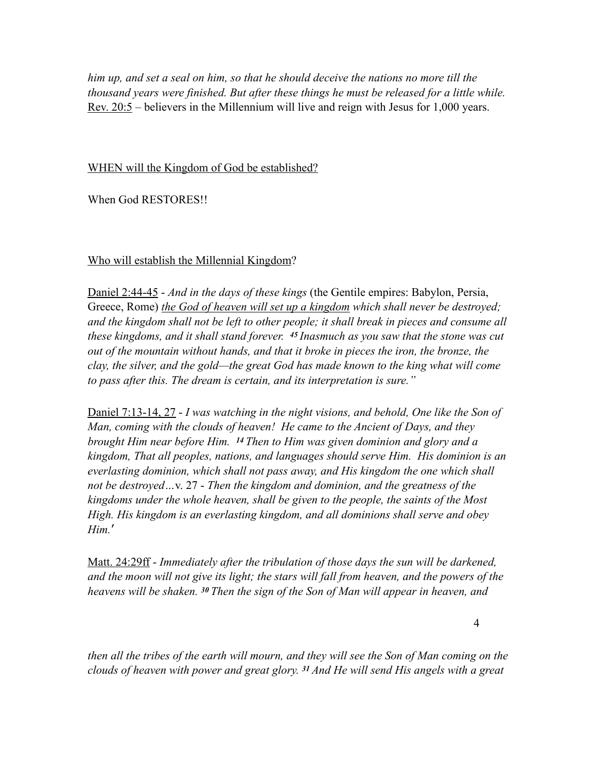*him up, and set a seal on him, so that he should deceive the nations no more till the thousand years were finished. But after these things he must be released for a little while.*  <u>Rev. 20:5</u> – believers in the Millennium will live and reign with Jesus for 1,000 years.

#### WHEN will the Kingdom of God be established?

When God RESTORES!!

### Who will establish the Millennial Kingdom?

Daniel 2:44-45 - *And in the days of these kings* (the Gentile empires: Babylon, Persia, Greece, Rome) *the God of heaven will set up a kingdom which shall never be destroyed; and the kingdom shall not be left to other people; it shall break in pieces and consume all these kingdoms, and it shall stand forever. 45 Inasmuch as you saw that the stone was cut out of the mountain without hands, and that it broke in pieces the iron, the bronze, the clay, the silver, and the gold—the great God has made known to the king what will come to pass after this. The dream is certain, and its interpretation is sure."* 

Daniel 7:13-14, 27 - *I was watching in the night visions, and behold, One like the Son of Man, coming with the clouds of heaven! He came to the Ancient of Days, and they brought Him near before Him. 14 Then to Him was given dominion and glory and a kingdom, That all peoples, nations, and languages should serve Him. His dominion is an everlasting dominion, which shall not pass away, and His kingdom the one which shall not be destroyed…*v. 27 - *Then the kingdom and dominion, and the greatness of the kingdoms under the whole heaven, shall be given to the people, the saints of the Most High. His kingdom is an everlasting kingdom, and all dominions shall serve and obey Him.*'

Matt. 24:29ff - *Immediately after the tribulation of those days the sun will be darkened, and the moon will not give its light; the stars will fall from heaven, and the powers of the heavens will be shaken. 30 Then the sign of the Son of Man will appear in heaven, and* 

*then all the tribes of the earth will mourn, and they will see the Son of Man coming on the clouds of heaven with power and great glory. 31 And He will send His angels with a great*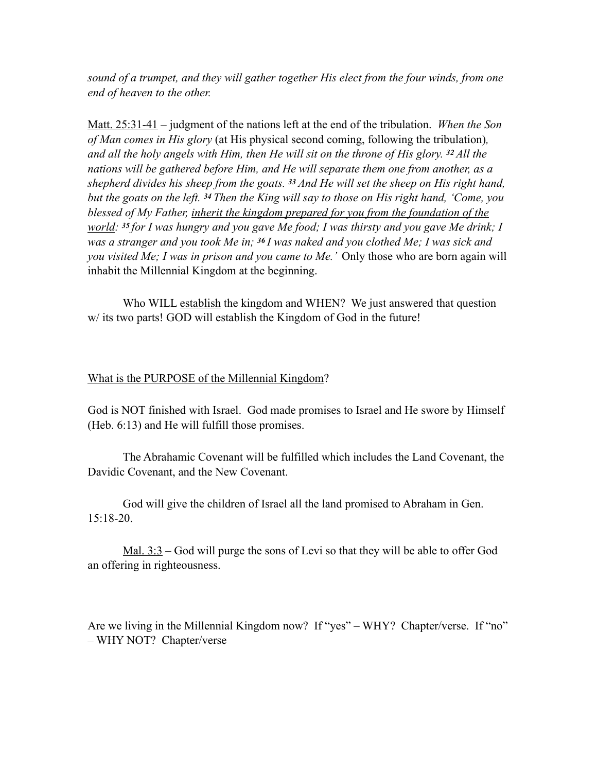*sound of a trumpet, and they will gather together His elect from the four winds, from one end of heaven to the other.* 

Matt. 25:31-41 – judgment of the nations left at the end of the tribulation. *When the Son of Man comes in His glory* (at His physical second coming, following the tribulation)*, and all the holy angels with Him, then He will sit on the throne of His glory. 32 All the nations will be gathered before Him, and He will separate them one from another, as a shepherd divides his sheep from the goats. 33 And He will set the sheep on His right hand, but the goats on the left. 34 Then the King will say to those on His right hand, 'Come, you blessed of My Father, inherit the kingdom prepared for you from the foundation of the world: 35 for I was hungry and you gave Me food; I was thirsty and you gave Me drink; I was a stranger and you took Me in; 36 I was naked and you clothed Me; I was sick and you visited Me; I was in prison and you came to Me.'* Only those who are born again will inhabit the Millennial Kingdom at the beginning.

Who WILL establish the kingdom and WHEN? We just answered that question w/ its two parts! GOD will establish the Kingdom of God in the future!

#### What is the PURPOSE of the Millennial Kingdom?

God is NOT finished with Israel. God made promises to Israel and He swore by Himself (Heb. 6:13) and He will fulfill those promises.

The Abrahamic Covenant will be fulfilled which includes the Land Covenant, the Davidic Covenant, and the New Covenant.

God will give the children of Israel all the land promised to Abraham in Gen. 15:18-20.

Mal. 3:3 – God will purge the sons of Levi so that they will be able to offer God an offering in righteousness.

Are we living in the Millennial Kingdom now? If "yes" – WHY? Chapter/verse. If "no" – WHY NOT? Chapter/verse